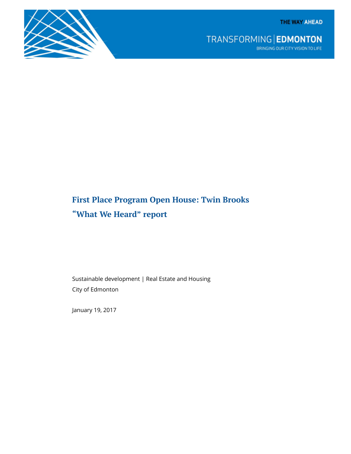TRANSFORMING | EDMONTON BRINGING OUR CITY VISION TO LIFE

# First Place Program Open House: Twin Brooks "What We Heard" report

Sustainable development | Real Estate and Housing City of Edmonton

January 19, 2017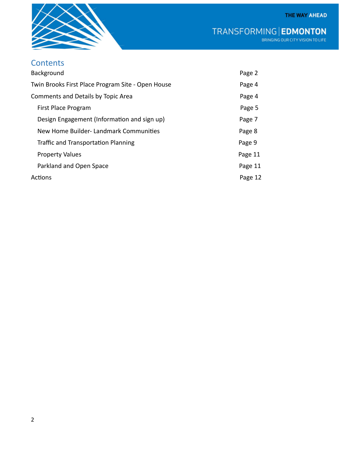

TRANSFORMING | EDMONTON

# **Contents**

| Background                                        | Page 2  |
|---------------------------------------------------|---------|
| Twin Brooks First Place Program Site - Open House | Page 4  |
| Comments and Details by Topic Area                | Page 4  |
| First Place Program                               | Page 5  |
| Design Engagement (Information and sign up)       | Page 7  |
| New Home Builder- Landmark Communities            | Page 8  |
| <b>Traffic and Transportation Planning</b>        | Page 9  |
| <b>Property Values</b>                            | Page 11 |
| Parkland and Open Space                           | Page 11 |
| Actions                                           | Page 12 |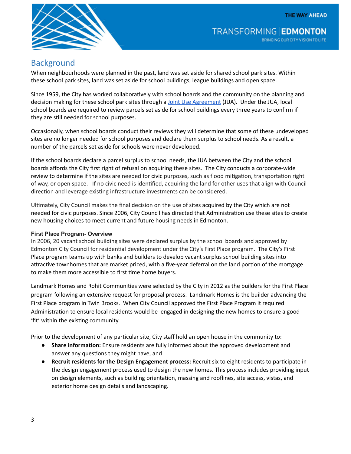

### **Background**

When neighbourhoods were planned in the past, land was set aside for shared school park sites. Within these school park sites, land was set aside for school buildings, league buildings and open space.

Since 1959, the City has worked collaboratively with school boards and the community on the planning and decision making for these school park sites through a Joint Use [Agreement](https://www.edmonton.ca/city_government/urban_planning_and_design/process-surplus-school-buildings.aspx) (JUA). Under the JUA, local school boards are required to review parcels set aside for school buildings every three years to confirm if they are still needed for school purposes.

Occasionally, when school boards conduct their reviews they will determine that some of these undeveloped sites are no longer needed for school purposes and declare them surplus to school needs. As a result, a number of the parcels set aside for schools were never developed.

If the school boards declare a parcel surplus to school needs, the JUA between the City and the school boards affords the City first right of refusal on acquiring these sites. The City conducts a corporate‐wide review to determine if the sites are needed for civic purposes, such as flood mitigation, transportation right of way, or open space. If no civic need is identified, acquiring the land for other uses that align with Council direction and leverage existing infrastructure investments can be considered.

Ultimately, City Council makes the final decision on the use of sites acquired by the City which are not needed for civic purposes. Since 2006, City Council has directed that Administration use these sites to create new housing choices to meet current and future housing needs in Edmonton.

#### **First Place Program- Overview**

In 2006, 20 vacant school building sites were declared surplus by the school boards and approved by Edmonton City Council for residential development under the City's First Place program. The City's First Place program teams up with banks and builders to develop vacant surplus school building sites into attractive townhomes that are market priced, with a five-year deferral on the land portion of the mortgage to make them more accessible to first time home buyers.

Landmark Homes and Rohit Communities were selected by the City in 2012 as the builders for the First Place program following an extensive request for proposal process. Landmark Homes is the builder advancing the First Place program in Twin Brooks. When City Council approved the First Place Program it required Administration to ensure local residents would be engaged in designing the new homes to ensure a good 'fit' within the existing community.

Prior to the development of any particular site, City staff hold an open house in the community to:

- Share information: Ensure residents are fully informed about the approved development and answer any questions they might have, and
- Recruit residents for the Design Engagement process: Recruit six to eight residents to participate in the design engagement process used to design the new homes. This process includes providing input on design elements, such as building orientation, massing and rooflines, site access, vistas, and exterior home design details and landscaping.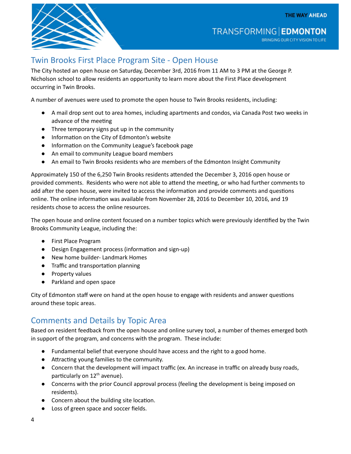

**TRANSFORMING EDMONTON** BRINGING OUR CITY VISION TO LIFE

## Twin Brooks First Place Program Site ‐ Open House

The City hosted an open house on Saturday, December 3rd, 2016 from 11 AM to 3 PM at the George P. Nicholson school to allow residents an opportunity to learn more about the First Place development occurring in Twin Brooks.

A number of avenues were used to promote the open house to Twin Brooks residents, including:

- A mail drop sent out to area homes, including apartments and condos, via Canada Post two weeks in advance of the meeting
- Three temporary signs put up in the community
- Information on the City of Edmonton's website
- Informaĕon on the Community League's facebook page
- An email to community League board members
- An email to Twin Brooks residents who are members of the Edmonton Insight Community

Approximately 150 of the 6,250 Twin Brooks residents attended the December 3, 2016 open house or provided comments. Residents who were not able to attend the meeting, or who had further comments to add after the open house, were invited to access the information and provide comments and questions online. The online information was available from November 28, 2016 to December 10, 2016, and 19 residents chose to access the online resources.

The open house and online content focused on a number topics which were previously identified by the Twin Brooks Community League, including the:

- First Place Program
- Design Engagement process (information and sign-up)
- New home builder- Landmark Homes
- Traffic and transportation planning
- Property values
- Parkland and open space

City of Edmonton staff were on hand at the open house to engage with residents and answer questions around these topic areas.

## Comments and Details by Topic Area

Based on resident feedback from the open house and online survey tool, a number of themes emerged both in support of the program, and concerns with the program. These include:

- Fundamental belief that everyone should have access and the right to a good home.
- Attracting young families to the community.
- Concern that the development will impact traffic (ex. An increase in traffic on already busy roads, particularly on 12<sup>th</sup> avenue).
- Concerns with the prior Council approval process (feeling the development is being imposed on residents).
- Concern about the building site location.
- Loss of green space and soccer fields.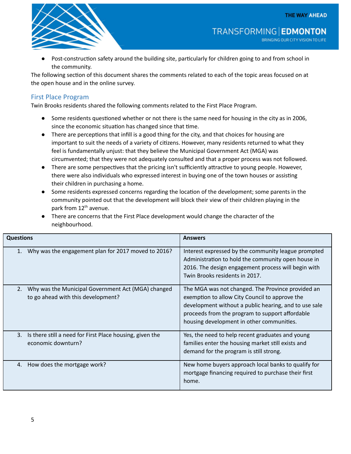

Post-construction safety around the building site, particularly for children going to and from school in the community.

The following section of this document shares the comments related to each of the topic areas focused on at the open house and in the online survey.

#### First Place Program

Twin Brooks residents shared the following comments related to the First Place Program.

- Some residents questioned whether or not there is the same need for housing in the city as in 2006, since the economic situation has changed since that time.
- There are perceptions that infill is a good thing for the city, and that choices for housing are important to suit the needs of a variety of citizens. However, many residents returned to what they feel is fundamentally unjust: that they believe the Municipal Government Act (MGA) was circumvented; that they were not adequately consulted and that a proper process was not followed.
- There are some perspectives that the pricing isn't sufficiently attractive to young people. However, there were also individuals who expressed interest in buying one of the town houses or assisting their children in purchasing a home.
- Some residents expressed concerns regarding the location of the development; some parents in the community pointed out that the development will block their view of their children playing in the park from 12<sup>th</sup> avenue.
- There are concerns that the First Place development would change the character of the neighbourhood.

| <b>Questions</b> |                                                                                          | <b>Answers</b>                                                                                                                                                                                                                                               |
|------------------|------------------------------------------------------------------------------------------|--------------------------------------------------------------------------------------------------------------------------------------------------------------------------------------------------------------------------------------------------------------|
| 1.               | Why was the engagement plan for 2017 moved to 2016?                                      | Interest expressed by the community league prompted<br>Administration to hold the community open house in<br>2016. The design engagement process will begin with<br>Twin Brooks residents in 2017.                                                           |
| 2.               | Why was the Municipal Government Act (MGA) changed<br>to go ahead with this development? | The MGA was not changed. The Province provided an<br>exemption to allow City Council to approve the<br>development without a public hearing, and to use sale<br>proceeds from the program to support affordable<br>housing development in other communities. |
| 3.               | Is there still a need for First Place housing, given the<br>economic downturn?           | Yes, the need to help recent graduates and young<br>families enter the housing market still exists and<br>demand for the program is still strong.                                                                                                            |
|                  | 4. How does the mortgage work?                                                           | New home buyers approach local banks to qualify for<br>mortgage financing required to purchase their first<br>home.                                                                                                                                          |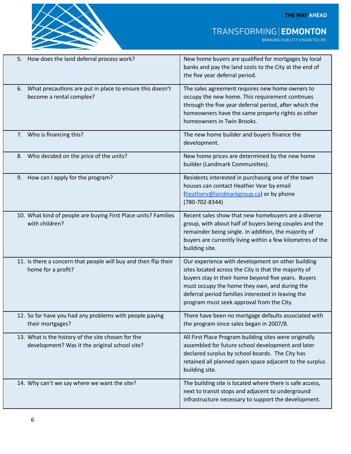

TRANSFORMING | EDMONTON

| How does the land deferral process work?<br>5.                                                      | New home buyers are qualified for mortgages by local<br>banks and pay the land costs to the City at the end of<br>the five year deferral period.                                                                                                                                                                      |
|-----------------------------------------------------------------------------------------------------|-----------------------------------------------------------------------------------------------------------------------------------------------------------------------------------------------------------------------------------------------------------------------------------------------------------------------|
| What precautions are put in place to ensure this doesn't<br>6.<br>become a rental complex?          | The sales agreement requires new home owners to<br>occupy the new home. This requirement continues<br>through the five year deferral period, after which the<br>homeowners have the same property rights as other<br>homeowners in Twin Brooks.                                                                       |
| 7. Who is financing this?                                                                           | The new home builder and buyers finance the<br>development.                                                                                                                                                                                                                                                           |
| Who decided on the price of the units?<br>8.                                                        | New home prices are determined by the new home<br>builder (Landmark Communities).                                                                                                                                                                                                                                     |
| How can I apply for the program?<br>9.                                                              | Residents interested in purchasing one of the town<br>houses can contact Heather Vear by email<br>(heatherv@landmarkgroup.ca) or by phone<br>$(780 - 702 - 8344)$                                                                                                                                                     |
| 10. What kind of people are buying First Place units? Families<br>with children?                    | Recent sales show that new homebuyers are a diverse<br>group, with about half of buyers being couples and the<br>remainder being single. In addition, the majority of<br>buyers are currently living within a few kilometres of the<br>building site.                                                                 |
| 11. Is there a concern that people will buy and then flip their<br>home for a profit?               | Our experience with development on other building<br>sites located across the City is that the majority of<br>buyers stay in their home beyond five years. Buyers<br>must occupy the home they own, and during the<br>deferral period families interested in leaving the<br>program must seek approval from the City. |
| 12. So far have you had any problems with people paying<br>their mortgages?                         | There have been no mortgage defaults associated with<br>the program since sales began in 2007/8.                                                                                                                                                                                                                      |
| 13. What is the history of the site chosen for the<br>development? Was it the original school site? | All First Place Program building sites were originally<br>assembled for future school development and later<br>declared surplus by school boards. The City has<br>retained all planned open space adjacent to the surplus<br>building site.                                                                           |
| 14. Why can't we say where we want the site?                                                        | The building site is located where there is safe access,<br>next to transit stops and adjacent to underground<br>infrastructure necessary to support the development.                                                                                                                                                 |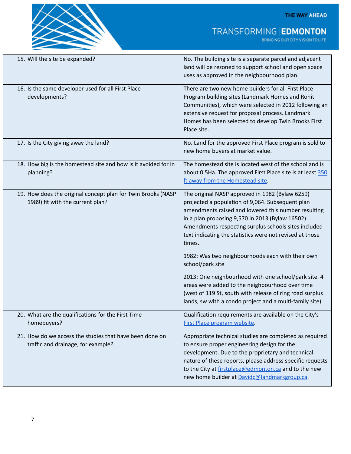

# TRANSFORMING | EDMONTON

| 15. Will the site be expanded?                                                                   | No. The building site is a separate parcel and adjacent<br>land will be rezoned to support school and open space<br>uses as approved in the neighbourhood plan.                                                                                                                                                                              |
|--------------------------------------------------------------------------------------------------|----------------------------------------------------------------------------------------------------------------------------------------------------------------------------------------------------------------------------------------------------------------------------------------------------------------------------------------------|
| 16. Is the same developer used for all First Place<br>developments?                              | There are two new home builders for all First Place<br>Program building sites (Landmark Homes and Rohit<br>Communities), which were selected in 2012 following an<br>extensive request for proposal process. Landmark<br>Homes has been selected to develop Twin Brooks First<br>Place site.                                                 |
| 17. Is the City giving away the land?                                                            | No. Land for the approved First Place program is sold to<br>new home buyers at market value.                                                                                                                                                                                                                                                 |
| 18. How big is the homestead site and how is it avoided for in<br>planning?                      | The homestead site is located west of the school and is<br>about 0.5Ha. The approved First Place site is at least 350<br>ft away from the Homestead site.                                                                                                                                                                                    |
| 19. How does the original concept plan for Twin Brooks (NASP<br>1989) fit with the current plan? | The original NASP approved in 1982 (Bylaw 6259)<br>projected a population of 9,064. Subsequent plan<br>amendments raised and lowered this number resulting<br>in a plan proposing 9,570 in 2013 (Bylaw 16502).<br>Amendments respecting surplus schools sites included<br>text indicating the statistics were not revised at those<br>times. |
|                                                                                                  | 1982: Was two neighbourhoods each with their own<br>school/park site                                                                                                                                                                                                                                                                         |
|                                                                                                  | 2013: One neighbourhood with one school/park site. 4<br>areas were added to the neighbourhood over time<br>(west of 119 St, south with release of ring road surplus<br>lands, sw with a condo project and a multi-family site)                                                                                                               |
| 20. What are the qualifications for the First Time<br>homebuyers?                                | Qualification requirements are available on the City's<br>First Place program website.                                                                                                                                                                                                                                                       |
| 21. How do we access the studies that have been done on<br>traffic and drainage, for example?    | Appropriate technical studies are completed as required<br>to ensure proper engineering design for the<br>development. Due to the proprietary and technical<br>nature of these reports, please address specific requests<br>to the City at firstplace@edmonton.ca and to the new<br>new home builder at Davidc@landmarkgroup.ca.             |

 $\overline{\phantom{a}}$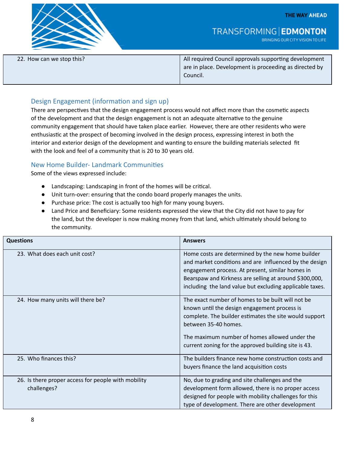BRINGING OUR CITY VISION TO LIFE



22. How can we stop this? All required Council approvals supporting development are in place. Development is proceeding as directed by Council.

**TRANSFORMING EDMONTON** 

#### Design Engagement (information and sign up)

There are perspectives that the design engagement process would not affect more than the cosmetic aspects of the development and that the design engagement is not an adequate alternative to the genuine community engagement that should have taken place earlier. However, there are other residents who were enthusiastic at the prospect of becoming involved in the design process, expressing interest in both the interior and exterior design of the development and wanting to ensure the building materials selected fit with the look and feel of a community that is 20 to 30 years old.

#### New Home Builder- Landmark Communities

Some of the views expressed include:

- Landscaping: Landscaping in front of the homes will be critical.
- Unit turn-over: ensuring that the condo board properly manages the units.
- Purchase price: The cost is actually too high for many young buyers.
- Land Price and Beneficiary: Some residents expressed the view that the City did not have to pay for the land, but the developer is now making money from that land, which ultimately should belong to the community.

| <b>Questions</b>                                                   | <b>Answers</b>                                                                                                                                                                                                                                                                               |
|--------------------------------------------------------------------|----------------------------------------------------------------------------------------------------------------------------------------------------------------------------------------------------------------------------------------------------------------------------------------------|
| 23. What does each unit cost?                                      | Home costs are determined by the new home builder<br>and market conditions and are influenced by the design<br>engagement process. At present, similar homes in<br>Bearspaw and Kirkness are selling at around \$300,000,<br>including the land value but excluding applicable taxes.        |
| 24. How many units will there be?                                  | The exact number of homes to be built will not be<br>known until the design engagement process is<br>complete. The builder estimates the site would support<br>between 35-40 homes.<br>The maximum number of homes allowed under the<br>current zoning for the approved building site is 43. |
| 25. Who finances this?                                             | The builders finance new home construction costs and<br>buyers finance the land acquisition costs                                                                                                                                                                                            |
| 26. Is there proper access for people with mobility<br>challenges? | No, due to grading and site challenges and the<br>development form allowed, there is no proper access<br>designed for people with mobility challenges for this<br>type of development. There are other development                                                                           |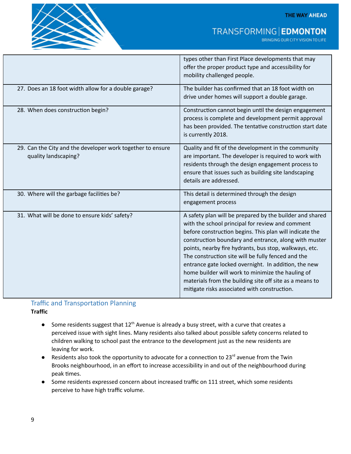

## TRANSFORMING | EDMONTON

BRINGING OUR CITY VISION TO LIFE

|                                                                                    | types other than First Place developments that may<br>offer the proper product type and accessibility for<br>mobility challenged people.                                                                                                                                                                                                                                                                                                                                                                                                                                 |
|------------------------------------------------------------------------------------|--------------------------------------------------------------------------------------------------------------------------------------------------------------------------------------------------------------------------------------------------------------------------------------------------------------------------------------------------------------------------------------------------------------------------------------------------------------------------------------------------------------------------------------------------------------------------|
| 27. Does an 18 foot width allow for a double garage?                               | The builder has confirmed that an 18 foot width on<br>drive under homes will support a double garage.                                                                                                                                                                                                                                                                                                                                                                                                                                                                    |
| 28. When does construction begin?                                                  | Construction cannot begin until the design engagement<br>process is complete and development permit approval<br>has been provided. The tentative construction start date<br>is currently 2018.                                                                                                                                                                                                                                                                                                                                                                           |
| 29. Can the City and the developer work together to ensure<br>quality landscaping? | Quality and fit of the development in the community<br>are important. The developer is required to work with<br>residents through the design engagement process to<br>ensure that issues such as building site landscaping<br>details are addressed.                                                                                                                                                                                                                                                                                                                     |
| 30. Where will the garbage facilities be?                                          | This detail is determined through the design<br>engagement process                                                                                                                                                                                                                                                                                                                                                                                                                                                                                                       |
| 31. What will be done to ensure kids' safety?                                      | A safety plan will be prepared by the builder and shared<br>with the school principal for review and comment<br>before construction begins. This plan will indicate the<br>construction boundary and entrance, along with muster<br>points, nearby fire hydrants, bus stop, walkways, etc.<br>The construction site will be fully fenced and the<br>entrance gate locked overnight. In addition, the new<br>home builder will work to minimize the hauling of<br>materials from the building site off site as a means to<br>mitigate risks associated with construction. |

## Traffic and Transportation Planning

**Traffic** 

- Some residents suggest that  $12<sup>th</sup>$  Avenue is already a busy street, with a curve that creates a perceived issue with sight lines. Many residents also talked about possible safety concerns related to children walking to school past the entrance to the development just as the new residents are leaving for work.
- **•** Residents also took the opportunity to advocate for a connection to  $23^{rd}$  avenue from the Twin Brooks neighbourhood, in an effort to increase accessibility in and out of the neighbourhood during peak times.
- Some residents expressed concern about increased traffic on 111 street, which some residents perceive to have high traffic volume.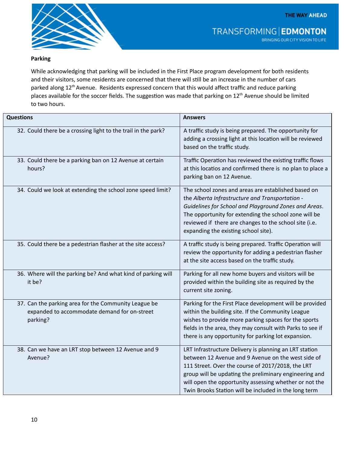

#### Parking

While acknowledging that parking will be included in the First Place program development for both residents and their visitors, some residents are concerned that there will still be an increase in the number of cars parked along 12<sup>th</sup> Avenue. Residents expressed concern that this would affect traffic and reduce parking places available for the soccer fields. The suggestion was made that parking on 12<sup>th</sup> Avenue should be limited to two hours.

| <b>Questions</b>                                                                                                 | <b>Answers</b>                                                                                                                                                                                                                                                                                                                                 |
|------------------------------------------------------------------------------------------------------------------|------------------------------------------------------------------------------------------------------------------------------------------------------------------------------------------------------------------------------------------------------------------------------------------------------------------------------------------------|
| 32. Could there be a crossing light to the trail in the park?                                                    | A traffic study is being prepared. The opportunity for<br>adding a crossing light at this location will be reviewed<br>based on the traffic study.                                                                                                                                                                                             |
| 33. Could there be a parking ban on 12 Avenue at certain<br>hours?                                               | Traffic Operation has reviewed the existing traffic flows<br>at this locatios and confirmed there is no plan to place a<br>parking ban on 12 Avenue.                                                                                                                                                                                           |
| 34. Could we look at extending the school zone speed limit?                                                      | The school zones and areas are established based on<br>the Alberta Infrastructure and Transportation -<br>Guidelines for School and Playground Zones and Areas.<br>The opportunity for extending the school zone will be<br>reviewed if there are changes to the school site (i.e.<br>expanding the existing school site).                     |
| 35. Could there be a pedestrian flasher at the site access?                                                      | A traffic study is being prepared. Traffic Operation will<br>review the opportunity for adding a pedestrian flasher<br>at the site access based on the traffic study.                                                                                                                                                                          |
| 36. Where will the parking be? And what kind of parking will<br>it be?                                           | Parking for all new home buyers and visitors will be<br>provided within the building site as required by the<br>current site zoning.                                                                                                                                                                                                           |
| 37. Can the parking area for the Community League be<br>expanded to accommodate demand for on-street<br>parking? | Parking for the First Place development will be provided<br>within the building site. If the Community League<br>wishes to provide more parking spaces for the sports<br>fields in the area, they may consult with Parks to see if<br>there is any opportunity for parking lot expansion.                                                      |
| 38. Can we have an LRT stop between 12 Avenue and 9<br>Avenue?                                                   | LRT Infrastructure Delivery is planning an LRT station<br>between 12 Avenue and 9 Avenue on the west side of<br>111 Street. Over the course of 2017/2018, the LRT<br>group will be updating the preliminary engineering and<br>will open the opportunity assessing whether or not the<br>Twin Brooks Station will be included in the long term |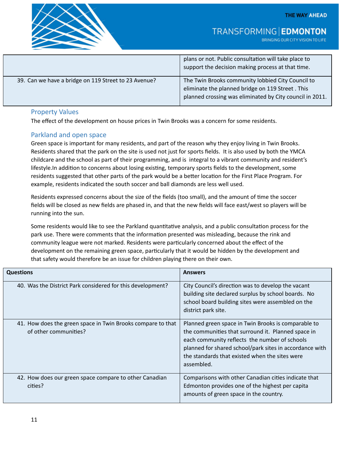

TRANSFORMING | EDMONTON

BRINGING OUR CITY VISION TO LIFE

|                                                      | plans or not. Public consultation will take place to<br>support the decision making process at that time.                                                         |
|------------------------------------------------------|-------------------------------------------------------------------------------------------------------------------------------------------------------------------|
| 39. Can we have a bridge on 119 Street to 23 Avenue? | The Twin Brooks community lobbied City Council to<br>eliminate the planned bridge on 119 Street. This<br>planned crossing was eliminated by City council in 2011. |

#### Property Values

The effect of the development on house prices in Twin Brooks was a concern for some residents.

#### Parkland and open space

Green space is important for many residents, and part of the reason why they enjoy living in Twin Brooks. Residents shared that the park on the site is used not just for sports fields. It is also used by both the YMCA childcare and the school as part of their programming, and is integral to a vibrant community and resident's lifestyle.In addition to concerns about losing existing, temporary sports fields to the development, some residents suggested that other parts of the park would be a better location for the First Place Program. For example, residents indicated the south soccer and ball diamonds are less well used.

Residents expressed concerns about the size of the fields (too small), and the amount of time the soccer fields will be closed as new fields are phased in, and that the new fields will face east/west so players will be running into the sun.

Some residents would like to see the Parkland quantitative analysis, and a public consultation process for the park use. There were comments that the information presented was misleading, because the rink and community league were not marked. Residents were particularly concerned about the effect of the development on the remaining green space, particularly that it would be hidden by the development and that safety would therefore be an issue for children playing there on their own.

| <b>Questions</b>                                                                     | <b>Answers</b>                                                                                                                                                                                                                                                                        |
|--------------------------------------------------------------------------------------|---------------------------------------------------------------------------------------------------------------------------------------------------------------------------------------------------------------------------------------------------------------------------------------|
| 40. Was the District Park considered for this development?                           | City Council's direction was to develop the vacant<br>building site declared surplus by school boards. No<br>school board building sites were assembled on the<br>district park site.                                                                                                 |
| 41. How does the green space in Twin Brooks compare to that<br>of other communities? | Planned green space in Twin Brooks is comparable to<br>the communities that surround it. Planned space in<br>each community reflects the number of schools<br>planned for shared school/park sites in accordance with<br>the standards that existed when the sites were<br>assembled. |
| 42. How does our green space compare to other Canadian<br>cities?                    | Comparisons with other Canadian cities indicate that<br>Edmonton provides one of the highest per capita<br>amounts of green space in the country.                                                                                                                                     |